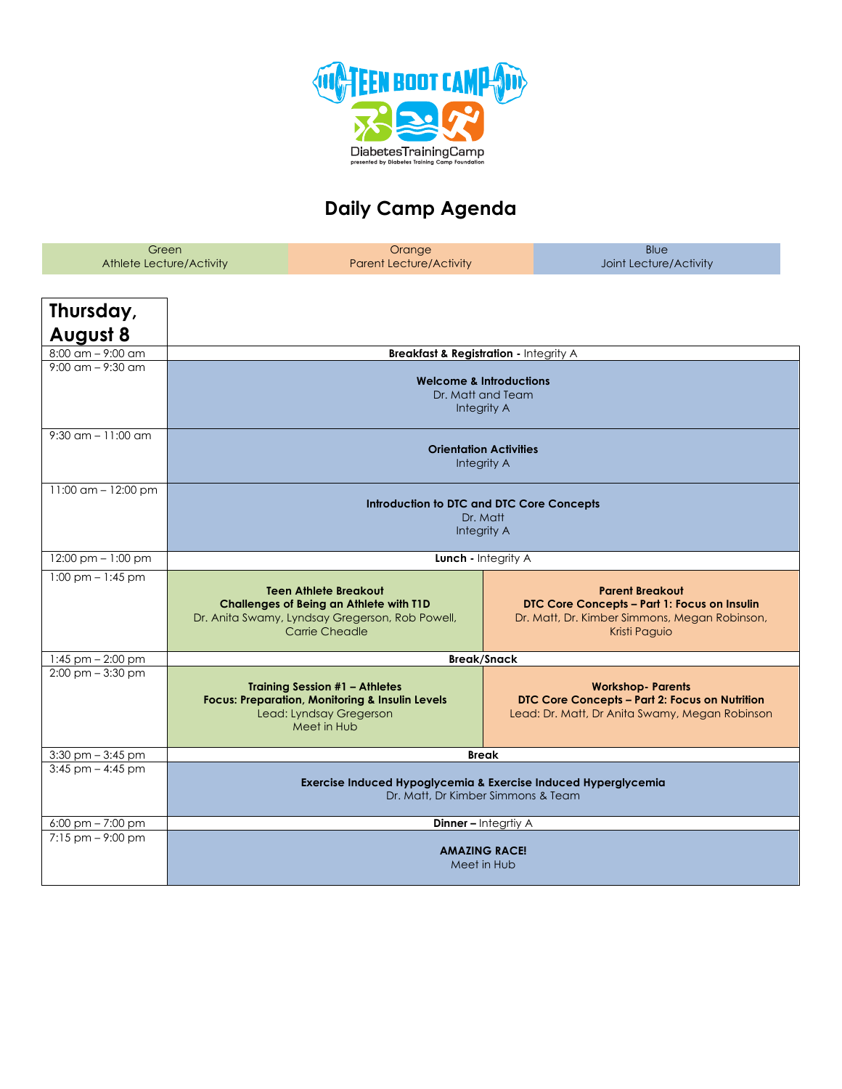

## **Daily Camp Agenda**

| Green<br>Athlete Lecture/Activity   |                                                                        | Orange<br><b>Parent Lecture/Activity</b>                                                                                                      | Blue<br>Joint Lecture/Activity                                                                                                           |  |  |  |
|-------------------------------------|------------------------------------------------------------------------|-----------------------------------------------------------------------------------------------------------------------------------------------|------------------------------------------------------------------------------------------------------------------------------------------|--|--|--|
| Thursday,<br><b>August 8</b>        |                                                                        |                                                                                                                                               |                                                                                                                                          |  |  |  |
| $8:00$ am $-$ 9:00 am               |                                                                        |                                                                                                                                               | <b>Breakfast &amp; Registration - Integrity A</b>                                                                                        |  |  |  |
| $9:00 \text{ cm} - 9:30 \text{ cm}$ | <b>Welcome &amp; Introductions</b><br>Dr. Matt and Team<br>Integrity A |                                                                                                                                               |                                                                                                                                          |  |  |  |
| $9:30$ am $-11:00$ am               |                                                                        | <b>Orientation Activities</b><br>Integrity A                                                                                                  |                                                                                                                                          |  |  |  |
| 11:00 am - 12:00 pm                 |                                                                        | Introduction to DTC and DTC Core Concepts<br>Dr. Matt<br>Integrity A                                                                          |                                                                                                                                          |  |  |  |
| 12:00 pm - 1:00 pm                  |                                                                        | Lunch - Integrity A                                                                                                                           |                                                                                                                                          |  |  |  |
| $1:00$ pm $-1:45$ pm                |                                                                        | <b>Teen Athlete Breakout</b><br>Challenges of Being an Athlete with T1D<br>Dr. Anita Swamy, Lyndsay Gregerson, Rob Powell,<br>Carrie Cheadle  | <b>Parent Breakout</b><br>DTC Core Concepts - Part 1: Focus on Insulin<br>Dr. Matt, Dr. Kimber Simmons, Megan Robinson,<br>Kristi Paguio |  |  |  |
| $1:45$ pm $- 2:00$ pm               |                                                                        | <b>Break/Snack</b>                                                                                                                            |                                                                                                                                          |  |  |  |
| $2:00 \text{ pm} - 3:30 \text{ pm}$ |                                                                        | <b>Training Session #1 - Athletes</b><br><b>Focus: Preparation, Monitoring &amp; Insulin Levels</b><br>Lead: Lyndsay Gregerson<br>Meet in Hub | <b>Workshop-Parents</b><br>DTC Core Concepts - Part 2: Focus on Nutrition<br>Lead: Dr. Matt, Dr Anita Swamy, Megan Robinson              |  |  |  |
| $3:30$ pm $-3:45$ pm                |                                                                        | <b>Break</b>                                                                                                                                  |                                                                                                                                          |  |  |  |
| $3:45$ pm $-4:45$ pm                |                                                                        | Exercise Induced Hypoglycemia & Exercise Induced Hyperglycemia<br>Dr. Matt, Dr Kimber Simmons & Team                                          |                                                                                                                                          |  |  |  |
| $6:00 \text{ pm} - 7:00 \text{ pm}$ |                                                                        |                                                                                                                                               | <b>Dinner - Integrity A</b>                                                                                                              |  |  |  |
| $7:15$ pm $-9:00$ pm                |                                                                        | <b>AMAZING RACE!</b><br>Meet in Hub                                                                                                           |                                                                                                                                          |  |  |  |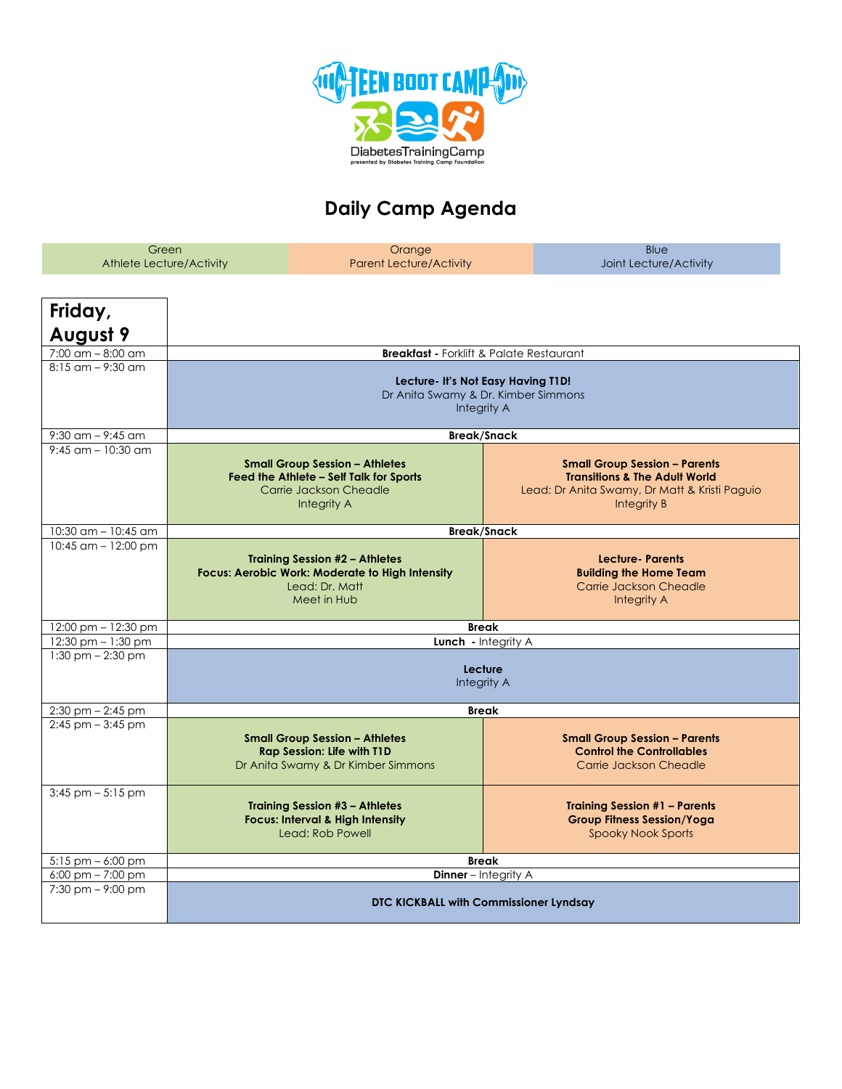

## **Daily Camp Agenda**

| Green<br><b>Athlete Lecture/Activity</b>   |                                                                                          | Orange<br><b>Parent Lecture/Activity</b>                                                                                         | Blue<br>Joint Lecture/Activity                                                                                                                   |  |  |
|--------------------------------------------|------------------------------------------------------------------------------------------|----------------------------------------------------------------------------------------------------------------------------------|--------------------------------------------------------------------------------------------------------------------------------------------------|--|--|
| Friday,<br><b>August 9</b>                 |                                                                                          |                                                                                                                                  |                                                                                                                                                  |  |  |
| $7:00$ am $-8:00$ am                       |                                                                                          | <b>Breakfast - Forklift &amp; Palate Restaurant</b>                                                                              |                                                                                                                                                  |  |  |
| $8:15$ am $-$ 9:30 am                      | Lecture- It's Not Easy Having T1D!<br>Dr Anita Swamy & Dr. Kimber Simmons<br>Integrity A |                                                                                                                                  |                                                                                                                                                  |  |  |
| 9:30 am $-$ 9:45 am                        |                                                                                          | <b>Break/Snack</b>                                                                                                               |                                                                                                                                                  |  |  |
| $9:45$ am $-10:30$ am                      |                                                                                          | <b>Small Group Session - Athletes</b><br>Feed the Athlete - Self Talk for Sports<br>Carrie Jackson Cheadle<br>Integrity A        | <b>Small Group Session - Parents</b><br><b>Transitions &amp; The Adult World</b><br>Lead: Dr Anita Swamy, Dr Matt & Kristi Paguio<br>Integrity B |  |  |
| $10:30$ am $- 10:45$ am                    | <b>Break/Snack</b>                                                                       |                                                                                                                                  |                                                                                                                                                  |  |  |
| 10:45 $am - 12:00$ pm                      |                                                                                          | <b>Training Session #2 - Athletes</b><br><b>Focus: Aerobic Work: Moderate to High Intensity</b><br>Lead: Dr. Matt<br>Meet in Hub | <b>Lecture-Parents</b><br><b>Building the Home Team</b><br>Carrie Jackson Cheadle<br>Integrity A                                                 |  |  |
| 12:00 pm - 12:30 pm                        |                                                                                          | <b>Break</b>                                                                                                                     |                                                                                                                                                  |  |  |
| 12:30 pm - 1:30 pm<br>$1:30$ pm $-2:30$ pm | <b>Lunch</b> - Integrity A<br>Lecture<br>Integrity A                                     |                                                                                                                                  |                                                                                                                                                  |  |  |
| $2:30$ pm $- 2:45$ pm                      | <b>Break</b>                                                                             |                                                                                                                                  |                                                                                                                                                  |  |  |
| $2:45$ pm $-3:45$ pm                       |                                                                                          | <b>Small Group Session - Athletes</b><br><b>Rap Session: Life with T1D</b><br>Dr Anita Swamy & Dr Kimber Simmons                 | <b>Small Group Session - Parents</b><br><b>Control the Controllables</b><br>Carrie Jackson Cheadle                                               |  |  |
| $3:45$ pm $-5:15$ pm                       |                                                                                          | <b>Training Session #3 - Athletes</b><br><b>Focus: Interval &amp; High Intensity</b><br>Lead: Rob Powell                         | <b>Training Session #1 - Parents</b><br><b>Group Fitness Session/Yoga</b><br><b>Spooky Nook Sports</b>                                           |  |  |
| $5:15$ pm $-6:00$ pm                       | <b>Break</b>                                                                             |                                                                                                                                  |                                                                                                                                                  |  |  |
| $6:00 \text{ pm} - 7:00 \text{ pm}$        | <b>Dinner</b> - Integrity A                                                              |                                                                                                                                  |                                                                                                                                                  |  |  |
| $7:30$ pm $-9:00$ pm                       | DTC KICKBALL with Commissioner Lyndsay                                                   |                                                                                                                                  |                                                                                                                                                  |  |  |